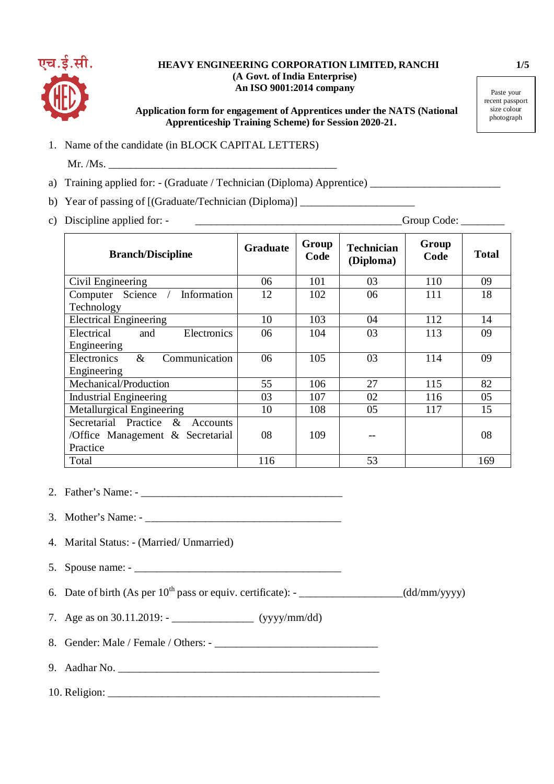

## **HEAVY ENGINEERING CORPORATION LIMITED, RANCHI 1/5 (A Govt. of India Enterprise) An ISO 9001:2014 company**

 **Application form for engagement of Apprentices under the NATS (National Apprenticeship Training Scheme) for Session 2020-21.**

Paste your recent passport size colour photograph

1. Name of the candidate (in BLOCK CAPITAL LETTERS)

 $Mr. /Ms.$ 

- a) Training applied for: (Graduate / Technician (Diploma) Apprentice)
- b) Year of passing of [(Graduate/Technician (Diploma)]
- c) Discipline applied for: \_\_\_\_\_\_\_\_\_\_\_\_\_\_\_\_\_\_\_\_\_\_\_\_\_\_\_\_\_\_\_\_\_\_\_\_\_\_Group Code: \_\_\_\_\_\_\_\_

| <b>Branch/Discipline</b>                | <b>Graduate</b> | Group<br>Code | <b>Technician</b><br>(Diploma) | Group<br>Code | <b>Total</b> |
|-----------------------------------------|-----------------|---------------|--------------------------------|---------------|--------------|
| Civil Engineering                       | 06              | 101           | 03                             | 110           | 09           |
| Information<br>Computer Science         | 12              | 102           | 06                             | 111           | 18           |
| Technology                              |                 |               |                                |               |              |
| <b>Electrical Engineering</b>           | 10              | 103           | 04                             | 112           | 14           |
| <b>Electronics</b><br>Electrical<br>and | 06              | 104           | 03                             | 113           | 09           |
| Engineering                             |                 |               |                                |               |              |
| Communication<br>$\&$<br>Electronics    | 06              | 105           | 03                             | 114           | 09           |
| Engineering                             |                 |               |                                |               |              |
| Mechanical/Production                   | 55              | 106           | 27                             | 115           | 82           |
| <b>Industrial Engineering</b>           | 03              | 107           | 02                             | 116           | 05           |
| Metallurgical Engineering               | 10              | 108           | 05                             | 117           | 15           |
| Secretarial Practice &<br>Accounts      |                 |               |                                |               |              |
| /Office Management $\&$ Secretarial     | 08              | 109           |                                |               | 08           |
| Practice                                |                 |               |                                |               |              |
| Total                                   | 116             |               | 53                             |               | 169          |

2. Father's Name: -

- 3. Mother's Name: \_\_\_\_\_\_\_\_\_\_\_\_\_\_\_\_\_\_\_\_\_\_\_\_\_\_\_\_\_\_\_\_\_\_\_\_
- 4. Marital Status: (Married/ Unmarried)

5. Spouse name:  $-\frac{1}{2}$ 

6. Date of birth (As per  $10^{th}$  pass or equiv. certificate):  $\frac{1}{2}$  (dd/mm/yyyy)

7. Age as on 30.11.2019: - \_\_\_\_\_\_\_\_\_\_\_\_\_\_\_ (yyyy/mm/dd)

8. Gender: Male / Female / Others: - \_\_\_\_\_\_\_\_\_\_\_\_\_\_\_\_\_\_\_\_\_\_\_\_\_\_\_\_\_\_

9. Aadhar No. \_\_\_\_\_\_\_\_\_\_\_\_\_\_\_\_\_\_\_\_\_\_\_\_\_\_\_\_\_\_\_\_\_\_\_\_\_\_\_\_\_\_\_\_\_\_\_\_

10. Religion: \_\_\_\_\_\_\_\_\_\_\_\_\_\_\_\_\_\_\_\_\_\_\_\_\_\_\_\_\_\_\_\_\_\_\_\_\_\_\_\_\_\_\_\_\_\_\_\_\_\_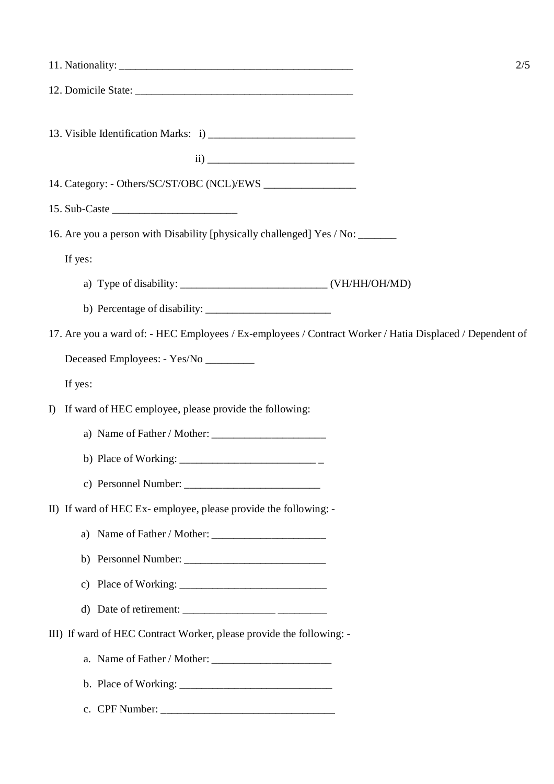|                                                                                                          | 2/5 |
|----------------------------------------------------------------------------------------------------------|-----|
|                                                                                                          |     |
|                                                                                                          |     |
|                                                                                                          |     |
|                                                                                                          |     |
| 16. Are you a person with Disability [physically challenged] Yes / No: ______                            |     |
| If yes:                                                                                                  |     |
|                                                                                                          |     |
|                                                                                                          |     |
|                                                                                                          |     |
| 17. Are you a ward of: - HEC Employees / Ex-employees / Contract Worker / Hatia Displaced / Dependent of |     |
| Deceased Employees: - Yes/No _________                                                                   |     |
| If yes:                                                                                                  |     |
| If ward of HEC employee, please provide the following:<br>I                                              |     |
|                                                                                                          |     |
|                                                                                                          |     |
| c) Personnel Number: $\frac{1}{2}$ Personnel Number:                                                     |     |
| II) If ward of HEC Ex-employee, please provide the following: -                                          |     |
| a) Name of Father / Mother:                                                                              |     |
|                                                                                                          |     |
|                                                                                                          |     |
|                                                                                                          |     |
| III) If ward of HEC Contract Worker, please provide the following: -                                     |     |
|                                                                                                          |     |
|                                                                                                          |     |
|                                                                                                          |     |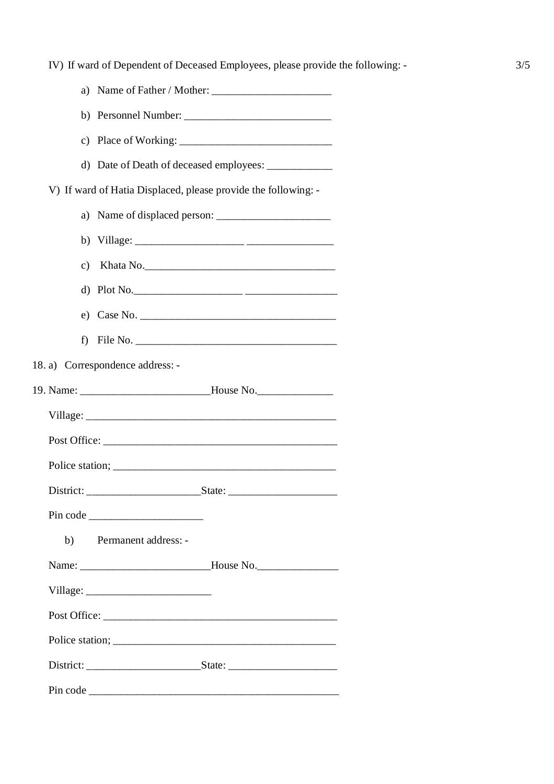|    | d) Date of Death of deceased employees: _______________                           |
|----|-----------------------------------------------------------------------------------|
|    | V) If ward of Hatia Displaced, please provide the following: -                    |
|    |                                                                                   |
|    |                                                                                   |
|    | c) Khata No.                                                                      |
|    | d) Plot No.                                                                       |
|    | $e)$ Case No.                                                                     |
|    |                                                                                   |
|    | 18. a) Correspondence address: -                                                  |
|    | 19. Name: __________________________________House No.                             |
|    |                                                                                   |
|    |                                                                                   |
|    |                                                                                   |
|    |                                                                                   |
|    |                                                                                   |
| b) | Permanent address: -                                                              |
|    | Name: _________________________________House No._________________________________ |
|    |                                                                                   |
|    |                                                                                   |
|    |                                                                                   |
|    |                                                                                   |
|    |                                                                                   |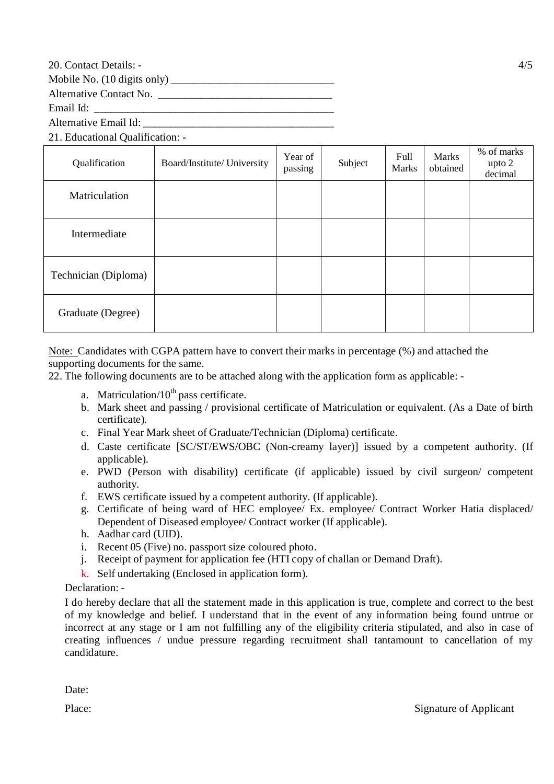20. Contact Details: - 4/5

Mobile No.  $(10 \text{ digits only})$ 

Alternative Contact No.

Email Id:

Alternative Email Id:

21. Educational Qualification: -

| Qualification        | Board/Institute/ University | Year of<br>passing | Subject | Full<br><b>Marks</b> | <b>Marks</b><br>obtained | % of marks<br>upto 2<br>decimal |
|----------------------|-----------------------------|--------------------|---------|----------------------|--------------------------|---------------------------------|
| Matriculation        |                             |                    |         |                      |                          |                                 |
| Intermediate         |                             |                    |         |                      |                          |                                 |
| Technician (Diploma) |                             |                    |         |                      |                          |                                 |
| Graduate (Degree)    |                             |                    |         |                      |                          |                                 |

Note: Candidates with CGPA pattern have to convert their marks in percentage (%) and attached the supporting documents for the same.

22. The following documents are to be attached along with the application form as applicable: -

- a. Matriculation/ $10^{th}$  pass certificate.
- b. Mark sheet and passing / provisional certificate of Matriculation or equivalent. (As a Date of birth certificate).
- c. Final Year Mark sheet of Graduate/Technician (Diploma) certificate.
- d. Caste certificate [SC/ST/EWS/OBC (Non-creamy layer)] issued by a competent authority. (If applicable).
- e. PWD (Person with disability) certificate (if applicable) issued by civil surgeon/ competent authority.
- f. EWS certificate issued by a competent authority. (If applicable).
- g. Certificate of being ward of HEC employee/ Ex. employee/ Contract Worker Hatia displaced/ Dependent of Diseased employee/ Contract worker (If applicable).
- h. Aadhar card (UID).
- i. Recent 05 (Five) no. passport size coloured photo.
- j. Receipt of payment for application fee (HTI copy of challan or Demand Draft).
- k. Self undertaking (Enclosed in application form).

## Declaration: -

I do hereby declare that all the statement made in this application is true, complete and correct to the best of my knowledge and belief. I understand that in the event of any information being found untrue or incorrect at any stage or I am not fulfilling any of the eligibility criteria stipulated, and also in case of creating influences / undue pressure regarding recruitment shall tantamount to cancellation of my candidature.

Date: